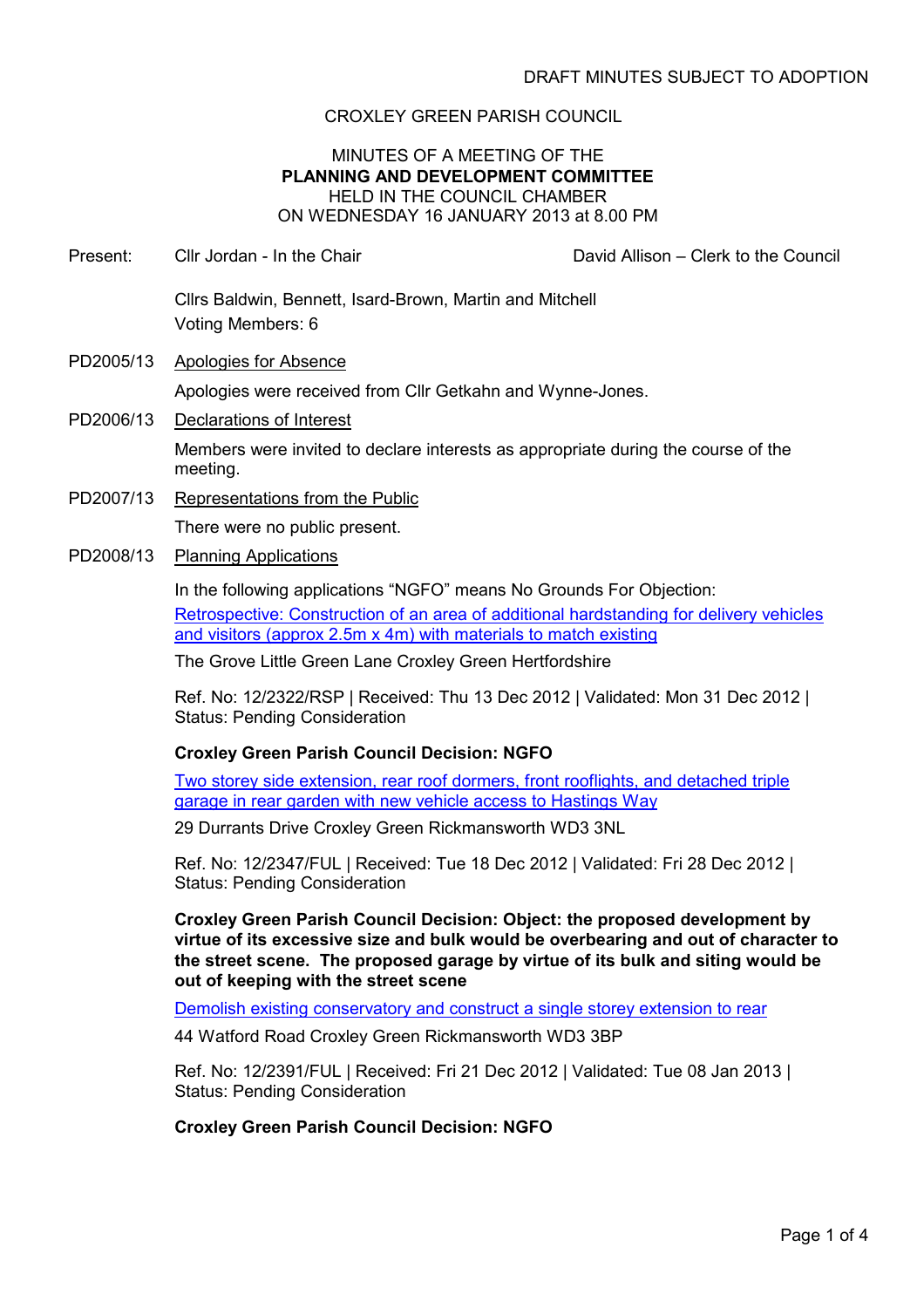# CROXLEY GREEN PARISH COUNCIL

## MINUTES OF A MEETING OF THE PLANNING AND DEVELOPMENT COMMITTEE HELD IN THE COUNCIL CHAMBER ON WEDNESDAY 16 JANUARY 2013 at 8.00 PM

- Present: Cllr Jordan In the Chair Chair Chair David Allison Clerk to the Council Cllrs Baldwin, Bennett, Isard-Brown, Martin and Mitchell Voting Members: 6
- PD2005/13 Apologies for Absence Apologies were received from Cllr Getkahn and Wynne-Jones.
- PD2006/13 Declarations of Interest Members were invited to declare interests as appropriate during the course of the meeting.
- PD2007/13 Representations from the Public There were no public present.
- PD2008/13 Planning Applications

In the following applications "NGFO" means No Grounds For Objection: Retrospective: Construction of an area of additional hardstanding for delivery vehicles and visitors (approx 2.5m x 4m) with materials to match existing

The Grove Little Green Lane Croxley Green Hertfordshire

Ref. No: 12/2322/RSP | Received: Thu 13 Dec 2012 | Validated: Mon 31 Dec 2012 | Status: Pending Consideration

# Croxley Green Parish Council Decision: NGFO

Two storey side extension, rear roof dormers, front rooflights, and detached triple garage in rear garden with new vehicle access to Hastings Way

29 Durrants Drive Croxley Green Rickmansworth WD3 3NL

Ref. No: 12/2347/FUL | Received: Tue 18 Dec 2012 | Validated: Fri 28 Dec 2012 | Status: Pending Consideration

Croxley Green Parish Council Decision: Object: the proposed development by virtue of its excessive size and bulk would be overbearing and out of character to the street scene. The proposed garage by virtue of its bulk and siting would be out of keeping with the street scene

Demolish existing conservatory and construct a single storey extension to rear

44 Watford Road Croxley Green Rickmansworth WD3 3BP

Ref. No: 12/2391/FUL | Received: Fri 21 Dec 2012 | Validated: Tue 08 Jan 2013 | Status: Pending Consideration

## Croxley Green Parish Council Decision: NGFO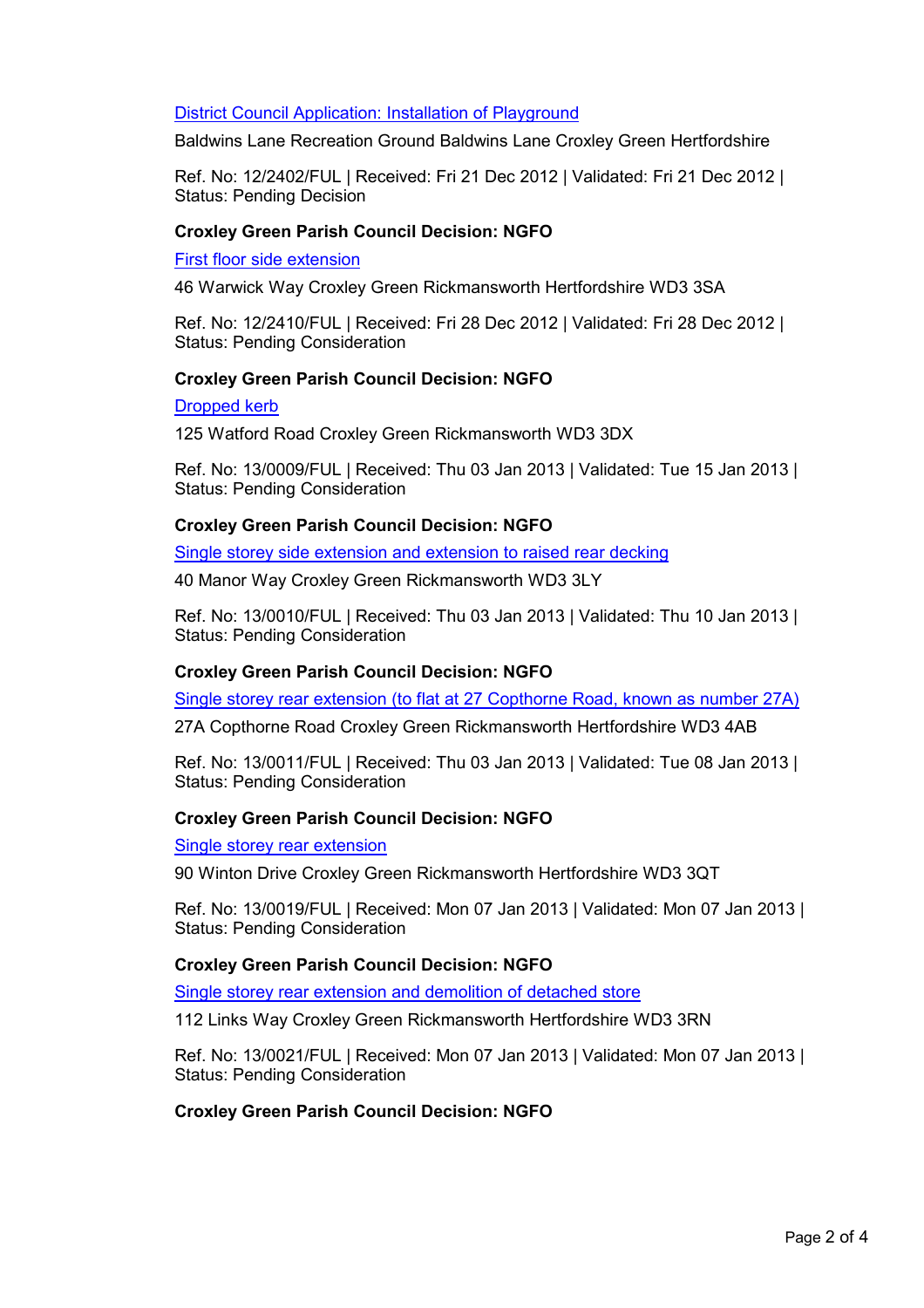# District Council Application: Installation of Playground

Baldwins Lane Recreation Ground Baldwins Lane Croxley Green Hertfordshire

Ref. No: 12/2402/FUL | Received: Fri 21 Dec 2012 | Validated: Fri 21 Dec 2012 | Status: Pending Decision

#### Croxley Green Parish Council Decision: NGFO

#### First floor side extension

46 Warwick Way Croxley Green Rickmansworth Hertfordshire WD3 3SA

Ref. No: 12/2410/FUL | Received: Fri 28 Dec 2012 | Validated: Fri 28 Dec 2012 | Status: Pending Consideration

## Croxley Green Parish Council Decision: NGFO

#### Dropped kerb

125 Watford Road Croxley Green Rickmansworth WD3 3DX

Ref. No: 13/0009/FUL | Received: Thu 03 Jan 2013 | Validated: Tue 15 Jan 2013 | Status: Pending Consideration

#### Croxley Green Parish Council Decision: NGFO

Single storey side extension and extension to raised rear decking

40 Manor Way Croxley Green Rickmansworth WD3 3LY

Ref. No: 13/0010/FUL | Received: Thu 03 Jan 2013 | Validated: Thu 10 Jan 2013 | Status: Pending Consideration

## Croxley Green Parish Council Decision: NGFO

Single storey rear extension (to flat at 27 Copthorne Road, known as number 27A)

27A Copthorne Road Croxley Green Rickmansworth Hertfordshire WD3 4AB

Ref. No: 13/0011/FUL | Received: Thu 03 Jan 2013 | Validated: Tue 08 Jan 2013 | Status: Pending Consideration

#### Croxley Green Parish Council Decision: NGFO

#### Single storey rear extension

90 Winton Drive Croxley Green Rickmansworth Hertfordshire WD3 3QT

Ref. No: 13/0019/FUL | Received: Mon 07 Jan 2013 | Validated: Mon 07 Jan 2013 | Status: Pending Consideration

#### Croxley Green Parish Council Decision: NGFO

Single storey rear extension and demolition of detached store

112 Links Way Croxley Green Rickmansworth Hertfordshire WD3 3RN

Ref. No: 13/0021/FUL | Received: Mon 07 Jan 2013 | Validated: Mon 07 Jan 2013 | Status: Pending Consideration

## Croxley Green Parish Council Decision: NGFO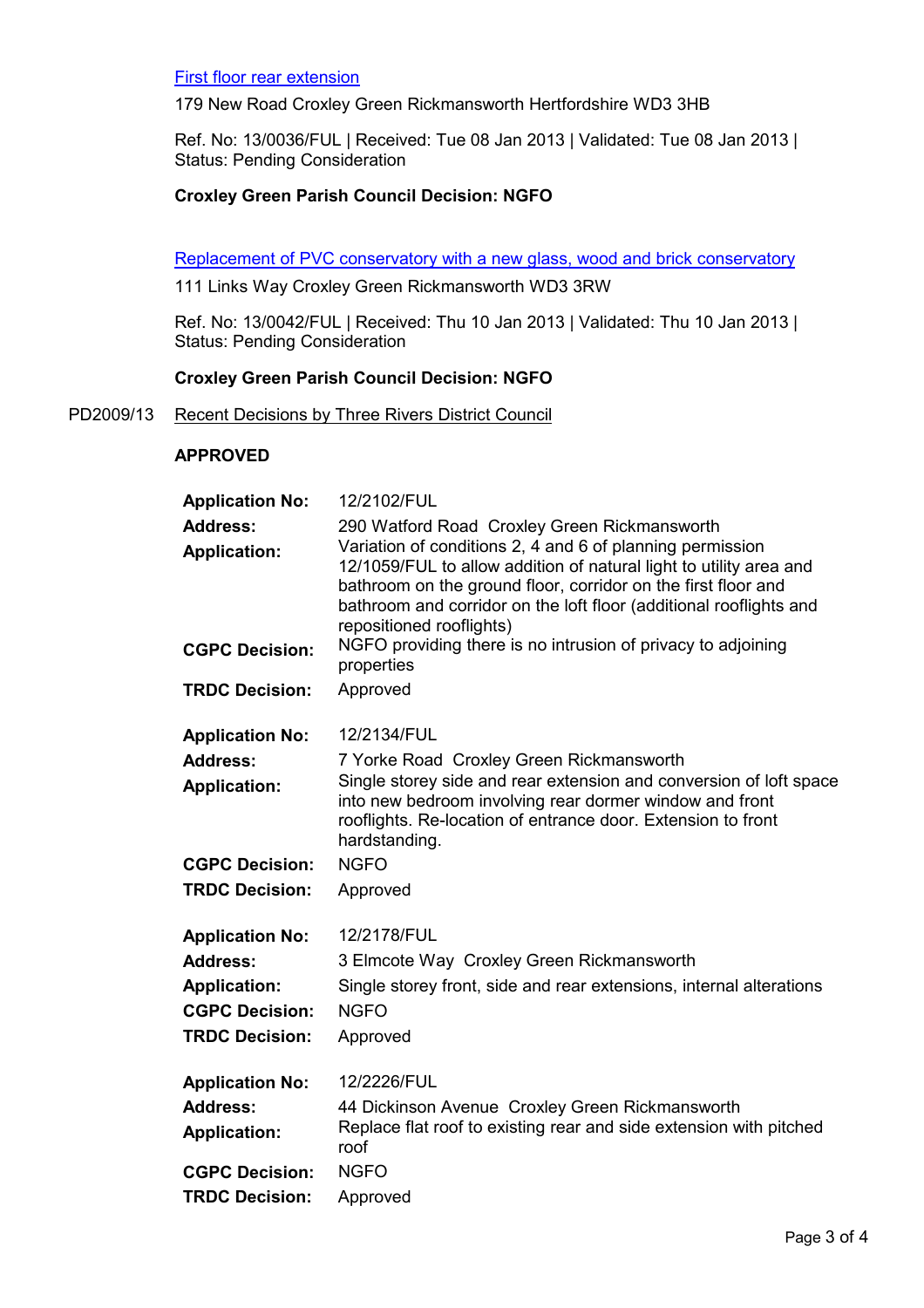#### First floor rear extension

179 New Road Croxley Green Rickmansworth Hertfordshire WD3 3HB

Ref. No: 13/0036/FUL | Received: Tue 08 Jan 2013 | Validated: Tue 08 Jan 2013 | Status: Pending Consideration

## Croxley Green Parish Council Decision: NGFO

Replacement of PVC conservatory with a new glass, wood and brick conservatory

111 Links Way Croxley Green Rickmansworth WD3 3RW

Ref. No: 13/0042/FUL | Received: Thu 10 Jan 2013 | Validated: Thu 10 Jan 2013 | Status: Pending Consideration

## Croxley Green Parish Council Decision: NGFO

PD2009/13 Recent Decisions by Three Rivers District Council

#### APPROVED

| <b>Application No:</b>                       | 12/2102/FUL                                                                                                                                                                                                                                                                                                                                                                                                        |
|----------------------------------------------|--------------------------------------------------------------------------------------------------------------------------------------------------------------------------------------------------------------------------------------------------------------------------------------------------------------------------------------------------------------------------------------------------------------------|
| <b>Address:</b><br><b>Application:</b>       | 290 Watford Road Croxley Green Rickmansworth<br>Variation of conditions 2, 4 and 6 of planning permission<br>12/1059/FUL to allow addition of natural light to utility area and<br>bathroom on the ground floor, corridor on the first floor and<br>bathroom and corridor on the loft floor (additional rooflights and<br>repositioned rooflights)<br>NGFO providing there is no intrusion of privacy to adjoining |
| <b>CGPC Decision:</b>                        | properties                                                                                                                                                                                                                                                                                                                                                                                                         |
| <b>TRDC Decision:</b>                        | Approved                                                                                                                                                                                                                                                                                                                                                                                                           |
| <b>Application No:</b>                       | 12/2134/FUL                                                                                                                                                                                                                                                                                                                                                                                                        |
| <b>Address:</b>                              | 7 Yorke Road Croxley Green Rickmansworth                                                                                                                                                                                                                                                                                                                                                                           |
| <b>Application:</b>                          | Single storey side and rear extension and conversion of loft space<br>into new bedroom involving rear dormer window and front<br>rooflights. Re-location of entrance door. Extension to front<br>hardstanding.                                                                                                                                                                                                     |
| <b>CGPC Decision:</b>                        | <b>NGFO</b>                                                                                                                                                                                                                                                                                                                                                                                                        |
| <b>TRDC Decision:</b>                        | Approved                                                                                                                                                                                                                                                                                                                                                                                                           |
| <b>Application No:</b>                       | 12/2178/FUL                                                                                                                                                                                                                                                                                                                                                                                                        |
| <b>Address:</b>                              | 3 Elmcote Way Croxley Green Rickmansworth                                                                                                                                                                                                                                                                                                                                                                          |
| <b>Application:</b><br><b>CGPC Decision:</b> | Single storey front, side and rear extensions, internal alterations<br><b>NGFO</b>                                                                                                                                                                                                                                                                                                                                 |
| <b>TRDC Decision:</b>                        | Approved                                                                                                                                                                                                                                                                                                                                                                                                           |
| <b>Application No:</b>                       | 12/2226/FUL                                                                                                                                                                                                                                                                                                                                                                                                        |
| <b>Address:</b><br><b>Application:</b>       | 44 Dickinson Avenue Croxley Green Rickmansworth<br>Replace flat roof to existing rear and side extension with pitched<br>roof                                                                                                                                                                                                                                                                                      |
| <b>CGPC Decision:</b>                        | <b>NGFO</b>                                                                                                                                                                                                                                                                                                                                                                                                        |
| <b>TRDC Decision:</b>                        | Approved                                                                                                                                                                                                                                                                                                                                                                                                           |